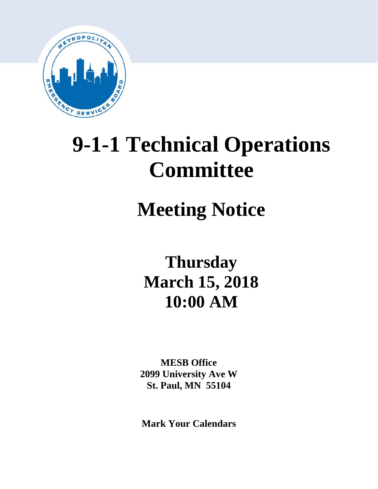

# **9-1-1 Technical Operations Committee**

# **Meeting Notice**

**Thursday March 15, 2018 10:00 AM**

**MESB Office 2099 University Ave W St. Paul, MN 55104**

**Mark Your Calendars**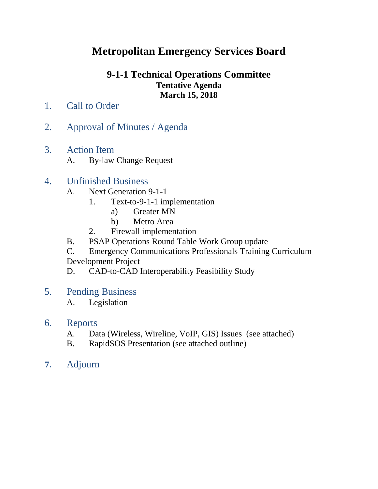## **Metropolitan Emergency Services Board**

## **9-1-1 Technical Operations Committee Tentative Agenda March 15, 2018**

- 1. Call to Order
- 2. Approval of Minutes / Agenda
- 3. Action Item
	- A. By-law Change Request

## 4. Unfinished Business

- A. Next Generation 9-1-1
	- 1. Text-to-9-1-1 implementation
		- a) Greater MN
		- b) Metro Area
	- 2. Firewall implementation
- B. PSAP Operations Round Table Work Group update
- C. Emergency Communications Professionals Training Curriculum Development Project
- D. CAD-to-CAD Interoperability Feasibility Study
- 5. Pending Business
	- A. Legislation

## 6. Reports

- A. Data (Wireless, Wireline, VoIP, GIS) Issues (see attached)
- B. RapidSOS Presentation (see attached outline)
- **7.** Adjourn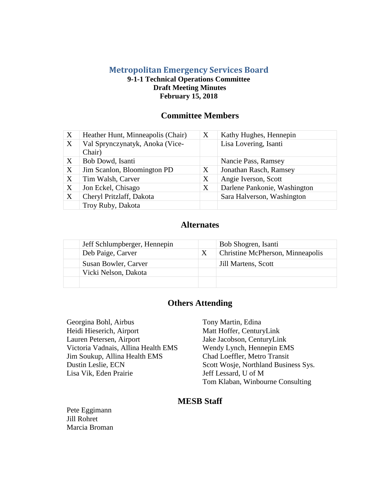#### **Metropolitan Emergency Services Board 9-1-1 Technical Operations Committee Draft Meeting Minutes February 15, 2018**

#### **Committee Members**

| $\boldsymbol{X}$          | Heather Hunt, Minneapolis (Chair)         | X | Kathy Hughes, Hennepin       |
|---------------------------|-------------------------------------------|---|------------------------------|
| $\boldsymbol{\mathrm{X}}$ | Val Sprynczynatyk, Anoka (Vice-<br>Chair) |   | Lisa Lovering, Isanti        |
| X                         | Bob Dowd, Isanti                          |   | Nancie Pass, Ramsey          |
| $\boldsymbol{X}$          | Jim Scanlon, Bloomington PD               | X | Jonathan Rasch, Ramsey       |
| X                         | Tim Walsh, Carver                         | X | Angie Iverson, Scott         |
| X                         | Jon Eckel, Chisago                        | X | Darlene Pankonie, Washington |
| X                         | Cheryl Pritzlaff, Dakota                  |   | Sara Halverson, Washington   |
|                           | Troy Ruby, Dakota                         |   |                              |

### **Alternates**

| Jeff Schlumpberger, Hennepin | Bob Shogren, Isanti              |
|------------------------------|----------------------------------|
| Deb Paige, Carver            | Christine McPherson, Minneapolis |
| Susan Bowler, Carver         | Jill Martens, Scott              |
| Vicki Nelson, Dakota         |                                  |
|                              |                                  |

## **Others Attending**

Georgina Bohl, Airbus Tony Martin, Edina Heidi Hieserich, Airport Matt Hoffer, CenturyLink Lauren Petersen, Airport Jake Jacobson, CenturyLink Victoria Vadnais, Allina Health EMS Wendy Lynch, Hennepin EMS Jim Soukup, Allina Health EMS Chad Loeffler, Metro Transit Lisa Vik, Eden Prairie Jeff Lessard, U of M

Dustin Leslie, ECN Scott Wosje, Northland Business Sys. Tom Klaban, Winbourne Consulting

#### **MESB Staff**

Pete Eggimann Jill Rohret Marcia Broman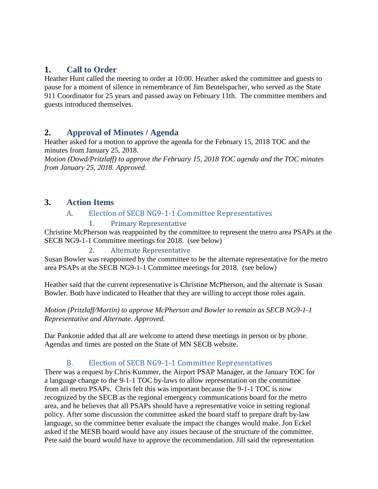## **1. Call to Order**

Heather Hunt called the meeting to order at 10:00. Heather asked the committee and guests to pause for a moment of silence in remembrance of Jim Beutelspacher, who served as the State 911 Coordinator for 25 years and passed away on February 11th. The committee members and guests introduced themselves.

## **2. Approval of Minutes / Agenda**

Heather asked for a motion to approve the agenda for the February 15, 2018 TOC and the minutes from January 25, 2018.

*Motion (Dowd/Pritzlaff) to approve the February 15, 2018 TOC agenda and the TOC minutes from January 25, 2018. Approved.*

## **3. Action Items**

#### A. Election of SECB NG9-1-1 Committee Representatives

1. Primary Representative

Christine McPherson was reappointed by the committee to represent the metro area PSAPs at the SECB NG9-1-1 Committee meetings for 2018. (see below)

#### 2. Alternate Representative

Susan Bowler was reappointed by the committee to be the alternate representative for the metro area PSAPs at the SECB NG9-1-1 Committee meetings for 2018. (see below)

Heather said that the current representative is Christine McPherson, and the alternate is Susan Bowler. Both have indicated to Heather that they are willing to accept those roles again.

#### *Motion (Pritzlaff/Martin) to approve McPherson and Bowler to remain as SECB NG9-1-1 Representative and Alternate. Approved.*

Dar Pankonie added that all are welcome to attend these meetings in person or by phone. Agendas and times are posted on the State of MN SECB website.

#### B. Election of SECB NG9-1-1 Committee Representatives

There was a request by Chris Kummer, the Airport PSAP Manager, at the January TOC for a language change to the 9-1-1 TOC by-laws to allow representation on the committee from all metro PSAPs. Chris felt this was important because the 9-1-1 TOC is now recognized by the SECB as the regional emergency communications board for the metro area, and he believes that all PSAPs should have a representative voice in setting regional policy. After some discussion the committee asked the board staff to prepare draft by-law language, so the committee better evaluate the impact the changes would make. Jon Eckel asked if the MESB board would have any issues because of the structure of the committee. Pete said the board would have to approve the recommendation. Jill said the representation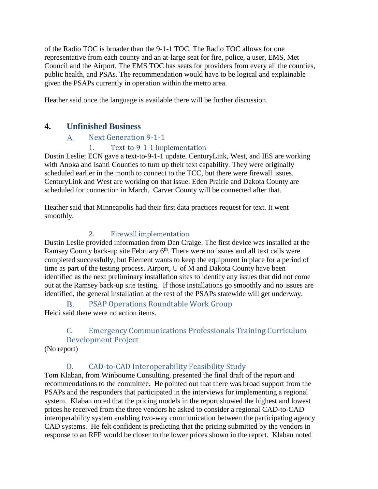of the Radio TOC is broader than the 9-1-1 TOC. The Radio TOC allows for one representative from each county and an at-large seat for fire, police, a user, EMS, Met Council and the Airport. The EMS TOC has seats for providers from every all the counties, public health, and PSAs. The recommendation would have to be logical and explainable given the PSAPs currently in operation within the metro area.

Heather said once the language is available there will be further discussion.

### **4. Unfinished Business**

#### $A_{\cdot}$ Next Generation 9-1-1

#### 1. Text-to-9-1-1 Implementation

Dustin Leslie; ECN gave a text-to-9-1-1 update. CenturyLink, West, and IES are working with Anoka and Isanti Counties to turn up their text capability. They were originally scheduled earlier in the month to connect to the TCC, but there were firewall issues. CenturyLink and West are working on that issue. Eden Prairie and Dakota County are scheduled for connection in March. Carver County will be connected after that.

Heather said that Minneapolis had their first data practices request for text. It went smoothly.

#### 2. Firewall implementation

Dustin Leslie provided information from Dan Craige. The first device was installed at the Ramsey County back-up site February  $6<sup>th</sup>$ . There were no issues and all text calls were completed successfully, but Element wants to keep the equipment in place for a period of time as part of the testing process. Airport, U of M and Dakota County have been identified as the next preliminary installation sites to identify any issues that did not come out at the Ramsey back-up site testing. If those installations go smoothly and no issues are identified, the general installation at the rest of the PSAPs statewide will get underway.

PSAP Operations Roundtable Work Group  $\mathbf{B}$ Heidi said there were no action items.

## C. Emergency Communications Professionals Training Curriculum Development Project

(No report)

## D. CAD-to-CAD Interoperability Feasibility Study

Tom Klaban, from Winbourne Consulting, presented the final draft of the report and recommendations to the committee. He pointed out that there was broad support from the PSAPs and the responders that participated in the interviews for implementing a regional system. Klaban noted that the pricing models in the report showed the highest and lowest prices he received from the three vendors he asked to consider a regional CAD-to-CAD interoperability system enabling two-way communication between the participating agency CAD systems. He felt confident is predicting that the pricing submitted by the vendors in response to an RFP would be closer to the lower prices shown in the report. Klaban noted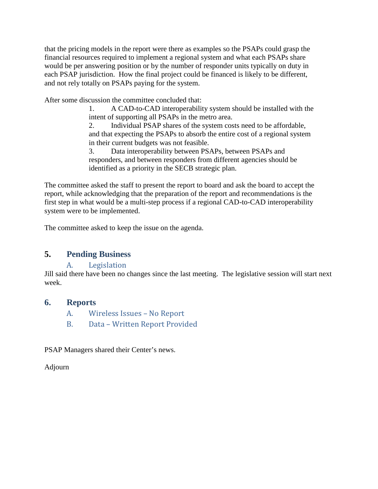that the pricing models in the report were there as examples so the PSAPs could grasp the financial resources required to implement a regional system and what each PSAPs share would be per answering position or by the number of responder units typically on duty in each PSAP jurisdiction. How the final project could be financed is likely to be different, and not rely totally on PSAPs paying for the system.

After some discussion the committee concluded that:

1. A CAD-to-CAD interoperability system should be installed with the intent of supporting all PSAPs in the metro area.

2. Individual PSAP shares of the system costs need to be affordable, and that expecting the PSAPs to absorb the entire cost of a regional system in their current budgets was not feasible.

3. Data interoperability between PSAPs, between PSAPs and responders, and between responders from different agencies should be identified as a priority in the SECB strategic plan.

The committee asked the staff to present the report to board and ask the board to accept the report, while acknowledging that the preparation of the report and recommendations is the first step in what would be a multi-step process if a regional CAD-to-CAD interoperability system were to be implemented.

The committee asked to keep the issue on the agenda.

#### **5. Pending Business**

#### A. Legislation

Jill said there have been no changes since the last meeting. The legislative session will start next week.

#### **6. Reports**

- A. Wireless Issues No Report
- B. Data Written Report Provided

PSAP Managers shared their Center's news.

Adjourn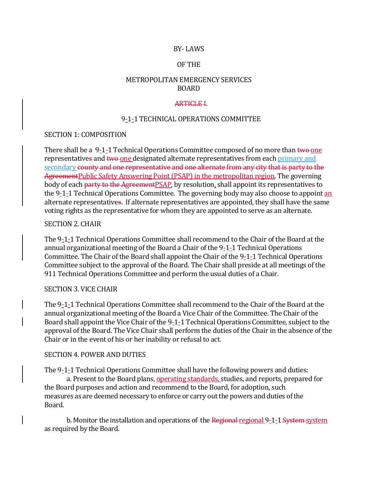#### BY- LAWS

#### OF THE

#### METROPOLITAN EMERGENCY SERVICES BOARD

#### **ARTICLE I.**

#### 9-1-1 TECHNICAL OPERATIONS COMMITTEE

#### SECTION 1: COMPOSITION

There shall be a 9-1-1 Technical Operations Committee composed of no more than two-one representatives and two one designated alternate representatives from each primary and secondary county and one representative and one alternate from any city that is party to the AgreementPublic Safety Answering Point (PSAP) in the metropolitan region. The governing body of each party to the AgreementPSAP, by resolution, shall appoint its representatives to the 9-1-1 Technical Operations Committee. The governing body may also choose to appoint an alternate representatives. If alternate representatives are appointed, they shall have the same voting rights as the representative for whom they are appointed to serve as an alternate.

#### SECTION 2. CHAIR

The 9-1-1 Technical Operations Committee shall recommend to the Chair of the Board at the annual organizational meeting of the Board a Chair of the 9-1-1 Technical Operations Committee. The Chair of the Board shall appoint the Chair of the 9-1-1 Technical Operations Committee subject to the approval of the Board. The Chair shall preside at all meetings of the 911 Technical Operations Committee and perform the usual duties of a Chair.

#### SECTION 3. VICE CHAIR

The 9-1-1 Technical Operations Committee shall recommend to the Chair of the Board at the annual organizational meeting of the Board a Vice Chair of the Committee. The Chair of the Board shall appoint the Vice Chair of the 9-1-1 Technical Operations Committee, subject to the approval of the Board. The Vice Chair shall perform the duties of the Chair in the absence of the Chair or in the event of his or her inability or refusal to act.

#### SECTION 4. POWER AND DUTIES

The 9-1-1 Technical Operations Committee shall have the following powers and duties:

a. Present to the Board plans, operating standards, studies, and reports, prepared for the Board purposes and action and recommend to the Board, for adoption, such measures as are deemed necessary to enforce or carry out the powers and duties of the Board.

b. Monitor the installation and operations of the Regional regional 9-1-1 System system as required by the Board.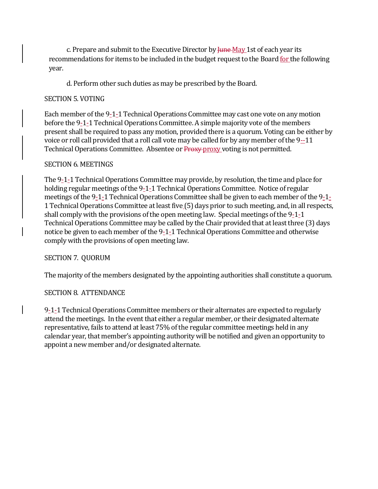c. Prepare and submit to the Executive Director by  $\frac{I_{\text{H}}}{I_{\text{H}}}\approx 1$  at of each year its recommendations for items to be included in the budget request to the Board for the following year.

d. Perform other such duties as may be prescribed by the Board.

#### SECTION 5. VOTING

Each member of the 9-1-1 Technical Operations Committee may cast one vote on any motion before the 9-1-1 Technical Operations Committee. A simple majority vote of the members present shall be required to pass any motion, provided there is a quorum. Voting can be either by voice or roll call provided that a roll call vote may be called for by any member of the 9--11 Technical Operations Committee. Absentee or Proxy proxy voting is not permitted.

#### SECTION 6. MEETINGS

The 9-1-1 Technical Operations Committee may provide, by resolution, the time and place for holding regular meetings of the 9-1-1 Technical Operations Committee. Notice of regular meetings of the 9-1-1 Technical Operations Committee shall be given to each member of the 9-1- 1 Technical Operations Committee at least five (5) days prior to such meeting, and, in all respects, shall comply with the provisions of the open meeting law. Special meetings of the 9-1-1 Technical Operations Committee may be called by the Chair provided that at least three (3) days notice be given to each member of the 9-1-1 Technical Operations Committee and otherwise comply with the provisions of open meeting law.

#### SECTION 7. QUORUM

The majority of the members designated by the appointing authorities shall constitute a quorum.

#### SECTION 8. ATTENDANCE

9-1-1 Technical Operations Committee members or their alternates are expected to regularly attend the meetings. In the event that either a regular member, or their designated alternate representative, fails to attend at least 75% of the regular committee meetings held in any calendar year, that member's appointing authority will be notified and given an opportunity to appoint a new member and/or designated alternate.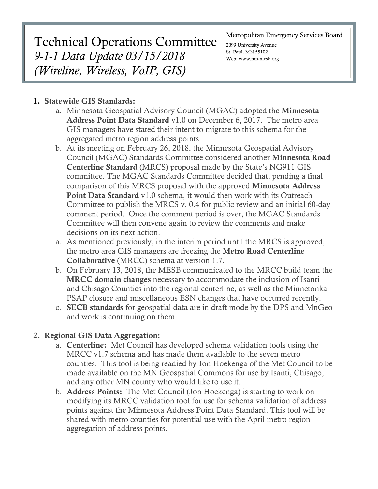# Technical Operations Committee *9-1-1 Data Update 03/15/2018 (Wireline, Wireless, VoIP, GIS)*

#### Metropolitan Emergency Services Board

2099 University Avenue St. Paul, MN 55102 Web: www.mn-mesb.org

## 1. Statewide GIS Standards:

- a. Minnesota Geospatial Advisory Council (MGAC) adopted the Minnesota Address Point Data Standard v1.0 on December 6, 2017. The metro area GIS managers have stated their intent to migrate to this schema for the aggregated metro region address points.
- b. At its meeting on February 26, 2018, the Minnesota Geospatial Advisory Council (MGAC) Standards Committee considered another Minnesota Road Centerline Standard (MRCS) proposal made by the State's NG911 GIS committee. The MGAC Standards Committee decided that, pending a final comparison of this MRCS proposal with the approved Minnesota Address Point Data Standard v1.0 schema, it would then work with its Outreach Committee to publish the MRCS v. 0.4 for public review and an initial 60-day comment period. Once the comment period is over, the MGAC Standards Committee will then convene again to review the comments and make decisions on its next action.
- a. As mentioned previously, in the interim period until the MRCS is approved, the metro area GIS managers are freezing the Metro Road Centerline Collaborative (MRCC) schema at version 1.7.
- b. On February 13, 2018, the MESB communicated to the MRCC build team the MRCC domain changes necessary to accommodate the inclusion of Isanti and Chisago Counties into the regional centerline, as well as the Minnetonka PSAP closure and miscellaneous ESN changes that have occurred recently.
- c. SECB standards for geospatial data are in draft mode by the DPS and MnGeo and work is continuing on them.

## 2. Regional GIS Data Aggregation:

- a. Centerline: Met Council has developed schema validation tools using the MRCC v1.7 schema and has made them available to the seven metro counties. This tool is being readied by Jon Hoekenga of the Met Council to be made available on the MN Geospatial Commons for use by Isanti, Chisago, and any other MN county who would like to use it.
- b. Address Points: The Met Council (Jon Hoekenga) is starting to work on modifying its MRCC validation tool for use for schema validation of address points against the Minnesota Address Point Data Standard. This tool will be shared with metro counties for potential use with the April metro region aggregation of address points.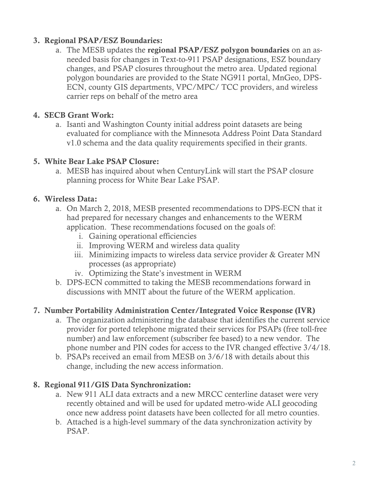## 3. Regional PSAP/ESZ Boundaries:

a. The MESB updates the regional PSAP/ESZ polygon boundaries on an asneeded basis for changes in Text-to-911 PSAP designations, ESZ boundary changes, and PSAP closures throughout the metro area. Updated regional polygon boundaries are provided to the State NG911 portal, MnGeo, DPS-ECN, county GIS departments, VPC/MPC/ TCC providers, and wireless carrier reps on behalf of the metro area

## 4. SECB Grant Work:

a. Isanti and Washington County initial address point datasets are being evaluated for compliance with the Minnesota Address Point Data Standard v1.0 schema and the data quality requirements specified in their grants.

## 5. White Bear Lake PSAP Closure:

a. MESB has inquired about when CenturyLink will start the PSAP closure planning process for White Bear Lake PSAP.

## 6. Wireless Data:

- a. On March 2, 2018, MESB presented recommendations to DPS-ECN that it had prepared for necessary changes and enhancements to the WERM application. These recommendations focused on the goals of:
	- i. Gaining operational efficiencies
	- ii. Improving WERM and wireless data quality
	- iii. Minimizing impacts to wireless data service provider & Greater MN processes (as appropriate)
	- iv. Optimizing the State's investment in WERM
- b. DPS-ECN committed to taking the MESB recommendations forward in discussions with MNIT about the future of the WERM application.

## 7. Number Portability Administration Center/Integrated Voice Response (IVR)

- a. The organization administering the database that identifies the current service provider for ported telephone migrated their services for PSAPs (free toll-free number) and law enforcement (subscriber fee based) to a new vendor. The phone number and PIN codes for access to the IVR changed effective 3/4/18.
- b. PSAPs received an email from MESB on 3/6/18 with details about this change, including the new access information.

## 8. Regional 911/GIS Data Synchronization:

- a. New 911 ALI data extracts and a new MRCC centerline dataset were very recently obtained and will be used for updated metro-wide ALI geocoding once new address point datasets have been collected for all metro counties.
- b. Attached is a high-level summary of the data synchronization activity by PSAP.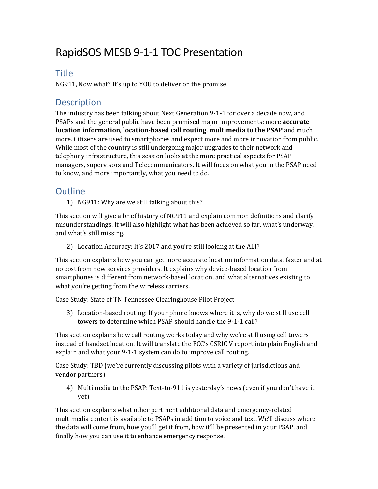## RapidSOS MESB 9-1-1 TOC Presentation

## **Title**

NG911, Now what? It's up to YOU to deliver on the promise!

## **Description**

The industry has been talking about Next Generation 9-1-1 for over a decade now, and PSAPs and the general public have been promised major improvements: more **accurate location information**, **location-based call routing**, **multimedia to the PSAP** and much more. Citizens are used to smartphones and expect more and more innovation from public. While most of the country is still undergoing major upgrades to their network and telephony infrastructure, this session looks at the more practical aspects for PSAP managers, supervisors and Telecommunicators. It will focus on what you in the PSAP need to know, and more importantly, what you need to do.

## **Outline**

1) NG911: Why are we still talking about this?

This section will give a brief history of NG911 and explain common definitions and clarify misunderstandings. It will also highlight what has been achieved so far, what's underway, and what's still missing.

2) Location Accuracy: It's 2017 and you're still looking at the ALI?

This section explains how you can get more accurate location information data, faster and at no cost from new services providers. It explains why device-based location from smartphones is different from network-based location, and what alternatives existing to what you're getting from the wireless carriers.

Case Study: State of TN Tennessee Clearinghouse Pilot Project

3) Location-based routing: If your phone knows where it is, why do we still use cell towers to determine which PSAP should handle the 9-1-1 call?

This section explains how call routing works today and why we're still using cell towers instead of handset location. It will translate the FCC's CSRIC V report into plain English and explain and what your 9-1-1 system can do to improve call routing.

Case Study: TBD (we're currently discussing pilots with a variety of jurisdictions and vendor partners)

4) Multimedia to the PSAP: Text-to-911 is yesterday's news (even if you don't have it yet)

This section explains what other pertinent additional data and emergency-related multimedia content is available to PSAPs in addition to voice and text. We'll discuss where the data will come from, how you'll get it from, how it'll be presented in your PSAP, and finally how you can use it to enhance emergency response.